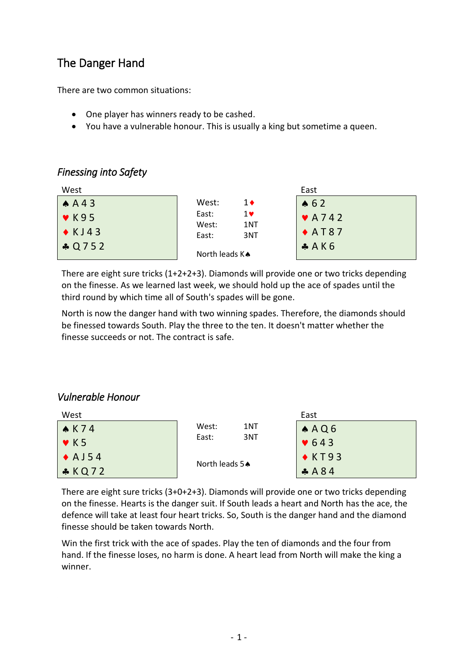# The Danger Hand

There are two common situations:

- One player has winners ready to be cashed.
- You have a vulnerable honour. This is usually a king but sometime a queen.

### *Finessing into Safety*

| West              |                              | East                       |
|-------------------|------------------------------|----------------------------|
| AA43              | West:<br>$1\bullet$          | $\bullet 62$               |
| $\sqrt{8}$ K95    | East:<br>1 V<br>West:<br>1NT | $\blacktriangledown$ A 742 |
| $\bullet$ KJ43    | East:<br>3NT                 | $\triangle$ AT87           |
| $\big $ + Q 7 5 2 | North leads KA               | A K6                       |

There are eight sure tricks (1+2+2+3). Diamonds will provide one or two tricks depending on the finesse. As we learned last week, we should hold up the ace of spades until the third round by which time all of South's spades will be gone.

North is now the danger hand with two winning spades. Therefore, the diamonds should be finessed towards South. Play the three to the ten. It doesn't matter whether the finesse succeeds or not. The contract is safe.

### *Vulnerable Honour*

| West                     |                | East          |  |
|--------------------------|----------------|---------------|--|
| $\triangle$ K 74         | West:<br>1NT   | A A Q 6       |  |
| $\blacktriangledown$ K 5 | East:<br>3NT   | $\bullet$ 643 |  |
| $\triangle$ A J 54       | North leads 5. | $\star$ KT93  |  |
| KQ72                     |                | A 84          |  |

There are eight sure tricks (3+0+2+3). Diamonds will provide one or two tricks depending on the finesse. Hearts is the danger suit. If South leads a heart and North has the ace, the defence will take at least four heart tricks. So, South is the danger hand and the diamond finesse should be taken towards North.

Win the first trick with the ace of spades. Play the ten of diamonds and the four from hand. If the finesse loses, no harm is done. A heart lead from North will make the king a winner.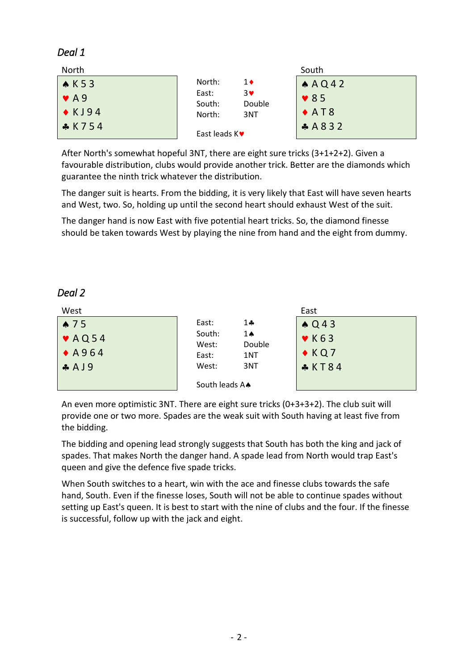### *Deal 1*

| North        |                                 | South           |
|--------------|---------------------------------|-----------------|
| AK53         | North:<br>$1\bullet$            | A A Q 42        |
| $\sqrt{4}$   | East:<br>3♥<br>Double<br>South: | $\bullet$ 85    |
| $\star$ KJ94 | North:<br>3NT                   | $\triangle$ AT8 |
| <b>*K754</b> | East leads $K$ $\bullet$        | A 8 3 2         |

After North's somewhat hopeful 3NT, there are eight sure tricks (3+1+2+2). Given a favourable distribution, clubs would provide another trick. Better are the diamonds which guarantee the ninth trick whatever the distribution.

The danger suit is hearts. From the bidding, it is very likely that East will have seven hearts and West, two. So, holding up until the second heart should exhaust West of the suit.

The danger hand is now East with five potential heart tricks. So, the diamond finesse should be taken towards West by playing the nine from hand and the eight from dummy.

#### *Deal 2*

| West             |                 |              | East                     |
|------------------|-----------------|--------------|--------------------------|
| $\bullet$ 75     | East:           | 14           | $\triangle Q$ 43         |
| $\sqrt{AQ54}$    | South:<br>West: | 14<br>Double | $\blacktriangledown$ K63 |
| $\triangle$ A964 | East:           | 1NT          | $\triangle KQ7$          |
| $A$ A J 9        | West:           | 3NT          | & K T 8 4                |
|                  | South leads A.  |              |                          |

An even more optimistic 3NT. There are eight sure tricks (0+3+3+2). The club suit will provide one or two more. Spades are the weak suit with South having at least five from the bidding.

The bidding and opening lead strongly suggests that South has both the king and jack of spades. That makes North the danger hand. A spade lead from North would trap East's queen and give the defence five spade tricks.

When South switches to a heart, win with the ace and finesse clubs towards the safe hand, South. Even if the finesse loses, South will not be able to continue spades without setting up East's queen. It is best to start with the nine of clubs and the four. If the finesse is successful, follow up with the jack and eight.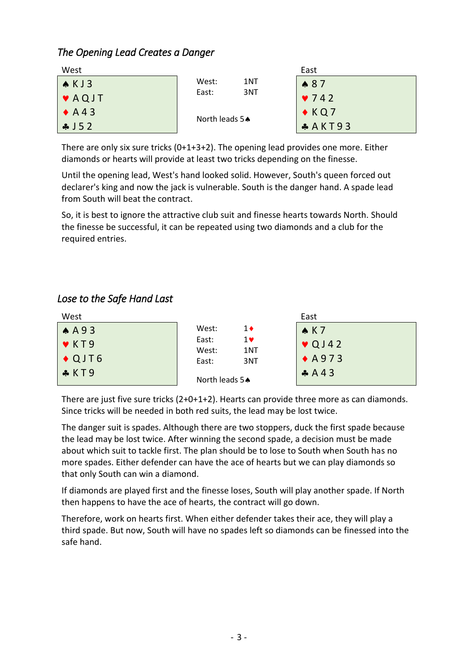### *The Opening Lead Creates a Danger*

| West                       |                | East          |
|----------------------------|----------------|---------------|
| $\triangle$ KJ3            | West:<br>1NT   | $*87$         |
| $\blacktriangleright$ AQJT | East:<br>3NT   | $\sqrt{742}$  |
| $\blacklozenge$ A43        | North leads 54 | $\bullet$ KQ7 |
| $\frac{1}{2}$ J 5 2        |                | $A$ AKT93     |

There are only six sure tricks  $(0+1+3+2)$ . The opening lead provides one more. Either diamonds or hearts will provide at least two tricks depending on the finesse.

Until the opening lead, West's hand looked solid. However, South's queen forced out declarer's king and now the jack is vulnerable. South is the danger hand. A spade lead from South will beat the contract.

So, it is best to ignore the attractive club suit and finesse hearts towards North. Should the finesse be successful, it can be repeated using two diamonds and a club for the required entries.

## *Lose to the Safe Hand Last*

| West             |                              | East             |
|------------------|------------------------------|------------------|
| AA93             | West:<br>1♦                  | AK7              |
| $\sqrt{K}$ KT9   | East:<br>1 v<br>1NT<br>West: | $\sqrt{Q}$ J 42  |
| $\triangle$ QJT6 | 3NT<br>East:                 | $\triangle$ A973 |
| $\clubsuit$ KT9  | North leads 54               | A A 4 3          |

There are just five sure tricks (2+0+1+2). Hearts can provide three more as can diamonds. Since tricks will be needed in both red suits, the lead may be lost twice.

The danger suit is spades. Although there are two stoppers, duck the first spade because the lead may be lost twice. After winning the second spade, a decision must be made about which suit to tackle first. The plan should be to lose to South when South has no more spades. Either defender can have the ace of hearts but we can play diamonds so that only South can win a diamond.

If diamonds are played first and the finesse loses, South will play another spade. If North then happens to have the ace of hearts, the contract will go down.

Therefore, work on hearts first. When either defender takes their ace, they will play a third spade. But now, South will have no spades left so diamonds can be finessed into the safe hand.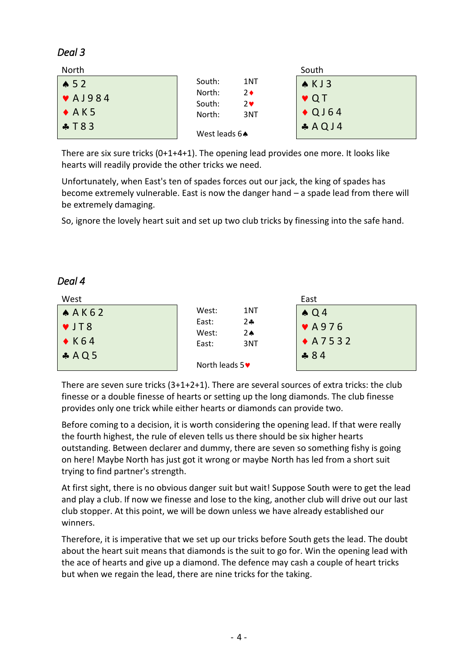### *Deal 3*

| North             |                                              | South            |
|-------------------|----------------------------------------------|------------------|
| $\triangle$ 52    | South:<br>1NT                                | AKJ3             |
| $\sqrt{41984}$    | North:<br>$2\bullet$<br>South:<br>$2\bullet$ | $\vee$ QT        |
| $\rightarrow$ AK5 | North:<br>3NT                                | $\triangle$ QJ64 |
| $\clubsuit$ T 8 3 | West leads $6 \spadesuit$                    | A Q J4           |

There are six sure tricks (0+1+4+1). The opening lead provides one more. It looks like hearts will readily provide the other tricks we need.

Unfortunately, when East's ten of spades forces out our jack, the king of spades has become extremely vulnerable. East is now the danger hand – a spade lead from there will be extremely damaging.

So, ignore the lovely heart suit and set up two club tricks by finessing into the safe hand.

### *Deal 4*

| West            |                                             | East                      |
|-----------------|---------------------------------------------|---------------------------|
| A A K 62        | West:<br>1NT                                | $\triangle Q4$            |
| VJT8            | East:<br>$2 - 1$<br>West:<br>2 <sub>0</sub> | $\blacktriangledown$ A976 |
| $\triangle$ K64 | 3NT<br>East:                                | $+A7532$                  |
| A Q 5           |                                             | $-884$                    |
|                 | North leads $5\blacktriangleright$          |                           |

There are seven sure tricks (3+1+2+1). There are several sources of extra tricks: the club finesse or a double finesse of hearts or setting up the long diamonds. The club finesse provides only one trick while either hearts or diamonds can provide two.

Before coming to a decision, it is worth considering the opening lead. If that were really the fourth highest, the rule of eleven tells us there should be six higher hearts outstanding. Between declarer and dummy, there are seven so something fishy is going on here! Maybe North has just got it wrong or maybe North has led from a short suit trying to find partner's strength.

At first sight, there is no obvious danger suit but wait! Suppose South were to get the lead and play a club. If now we finesse and lose to the king, another club will drive out our last club stopper. At this point, we will be down unless we have already established our winners.

Therefore, it is imperative that we set up our tricks before South gets the lead. The doubt about the heart suit means that diamonds is the suit to go for. Win the opening lead with the ace of hearts and give up a diamond. The defence may cash a couple of heart tricks but when we regain the lead, there are nine tricks for the taking.